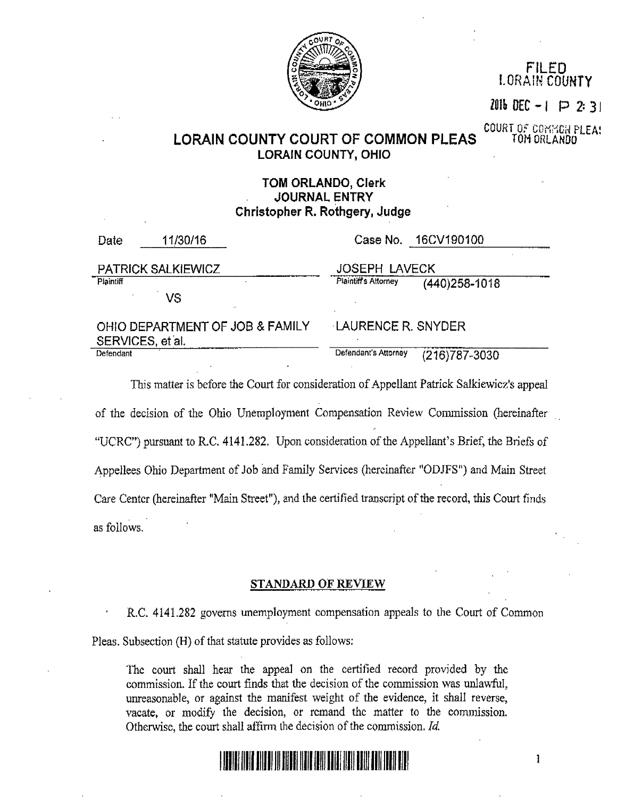

FILED LORAIN COUNTY

*lOlh* DEC - I P 2: 3 I

COURT OF COMMON PLEA:<br>TOM ORLANDO

 $\mathbf{1}$ 

# LORAIN COUNTY COURT OF COMMON PLEAS LORAIN COUNTY, OHIO

## TOM ORLANDO, Clerk JOURNAL ENTRY Christopher R. Rothgery, Judge

| Date                                                | 11/30/16 |                      | Case No. 16CV190100 |
|-----------------------------------------------------|----------|----------------------|---------------------|
| <b>PATRICK SALKIEWICZ</b>                           |          | <b>JOSEPH LAVECK</b> |                     |
| Plaintiff                                           |          | Plaintiff's Attorney | (440) 258-1018      |
|                                                     | VS       |                      |                     |
| OHIO DEPARTMENT OF JOB & FAMILY<br>SERVICES, et al. |          | LAURENCE R. SNYDER   |                     |
| Defendant                                           |          | Defendant's Attorney | (216) 787-3030      |

This matter is before the Court for consideration of Appellant Patrick Salkiewicz's appeal of the decision of the Ohio Unemployment Compensation Review Commission (hereinafter "UCRC") pursuant to R.C. 4141.282. Upon consideration of the Appellant's Brief, the Briefs of Appellees Ohio Department of Job and Family Services (hereinafter "ODJFS") and Main Street Care Center (hereinafter "Main Street"), and the certified transcript of the record, this Court finds as follows.

### STANDARD OF REVIEW

R.C. 4141.282 govems unemployment compensation appeals to the Court of Common Pleas. Subsection (H) of that statute provides as follows:

Tbc court shall hear the appeal on the certified record provided by the commission. If the court finds that the decision of the commission was unlawful, unreasonable, or against the manifest weight of the evidence, it shall reverse, vacate, or modify the decision, or remand the matter to the commission. Otherwise, the court shall affirm the decision of the commission.  $Id$ .

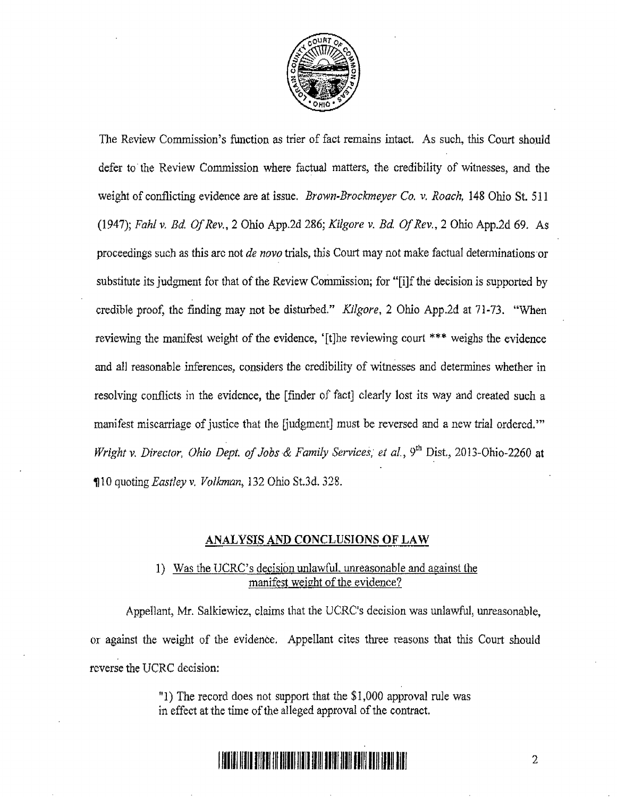

The Review Commission's function as trier of fact remains intact. As such, this Court should defer to' the Review Commission where factual matters, the credibility of witnesses, and the weight of conflicting evidence are at issue. *Brown-Brockmeyer Co.* v. *Roach,* 148 Ohio St. 511 (1947); Fahf v. Ed. *Of* Rev., 2 Ohio App.2d 286; *Kilgore* v. *Bd Of* Rev., 2 Ohio App.2d 69. As proceedings such as this arc not *de novo* trials, this Court may not make factual determinations or substitute its judgment for that of the Review Commission; for "[i]f the decision is supported by credible proof, the finding may not be disturbed." *Kilgore,* 2 Ohio App.2d at 71-73. "When reviewing the manifest weight of the evidence, '[tJhe reviewing court \*\*\* weighs the evidence and all reasonable inferences, considers the credibility of witnesses and determines whether in resolving conflicts in the evidence, the [fmder of fact] clearly lost its way and created such a manifest miscarriage of justice that the [judgment] must be reversed and a new trial ordered.'" *Wright v. Director, Ohio Dept. of Jobs & Family Services, et al., 9<sup>th</sup> Dist., 2013-Ohio-2260 at* <sup>~</sup>1 0 quoting *Eastlr;y* v. *Volkman,* 132 Ohio St.3d. 328.

### ANALYSIS AND CONCLUSIONS OF LAW

## 1) Was the {JCRC's decision unlawful, unreasonable and against the manifest weight of the evidence?

Appellant, Mr. Salkiewicz, claims that the UCRC's decision was unlawful, unreasonable, or against the weight of the evidence. Appellant cites three reasons that this Court should reverse the UCRC decision:

> "1) The record does not support that the  $$1,000$  approval rule was in effect at the time of the alleged approval of the contract.

# **11111111111111111111111111111111111111111111111111111111111111111** <sup>2</sup>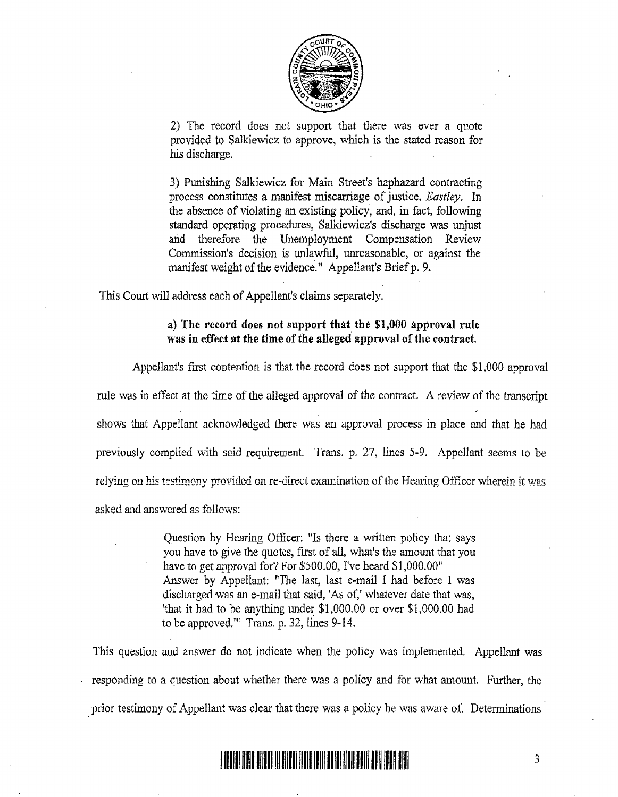

2) The record does not support that there was ever a quote provided to Salkiewicz to approve, which is the stated reason for his discharge.

3) Punishing Salkiewicz for Main Street's haphazard contracting process constitutes a manifest miscarriage of justice. *Eastley*. In the absence of violating an existing policy, and, in fact, following standard operating procedures, Salkiewicz's discharge was unjust and therefore the Unemployment Compensation Review Commission's decision is unlawful, unreasonable, or against the manifest weight of the evidence." Appellant's Brief p. 9.

This Court will address each of Appellant's claims separately.

#### a) The record does not support that the \$1,000 approval rule was in effect at the time of the alleged' approval of the contract.

Appellant's first contention is that the record does not support that the \$1,000 approval rule was in effect at the time of the alleged approval of the contract. A review of the transcript shows that Appellant acknowledged there was an approval process in place and that he had previously complied with said requirement. Trans. p. 27, lines 5-9. Appellant seems to be relying on his testimony provided on re-direct examination of the Hearing Officer wherein it was asked and answered as follows:

> Question by Hearing Officer: "Is there a written policy that says you have to give the quotes, first of all, what's the amount that you have to get approval for? For \$500.00, I've heard \$1,000.00" Answer by Appellant: "The last, last c-mail I had before I was discharged was an e-mail that said, 'As of,' whatever date that was, 'that it bad to be anything under \$1,000.00 or over \$1,000.00 had to be approved." Trans. p. 32, lines 9-14.

This question and answer do not indicate when the policy was implemented. Appellant was responding to a question about whether there was a policy and for what amount. Further, the prior testimony of Appellant was clear that there was a policy he was aware of. Determinations

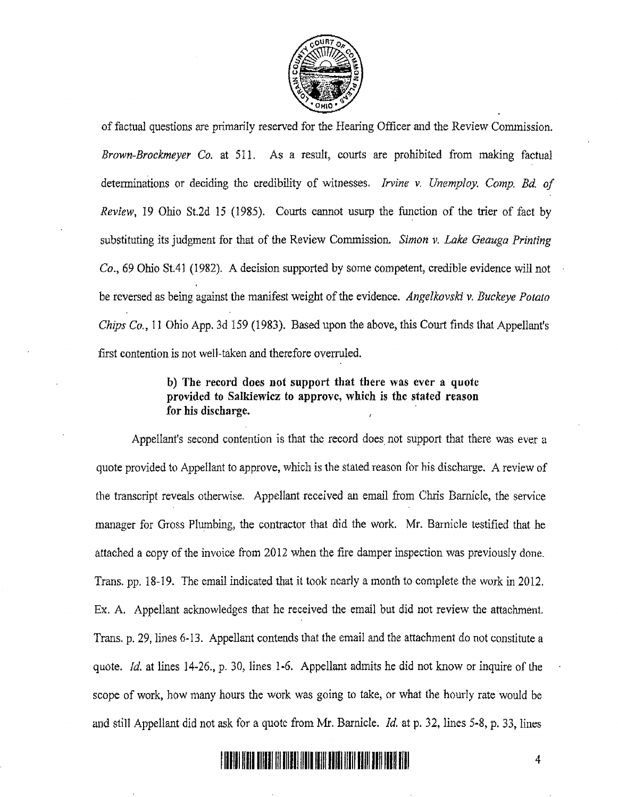

of factual questions are primarily reserved for the Hearing Officer and the Review Commission. *Brown-Brockmeyer Co.* at 511. As a result, courts are prohibited from making factual determinations or deciding the credibility of witnesses. *Irvine v. Unemploy. Comp. Bd. of Review,* 19 Ohio St.2d 15 (1985). Courts cannot usurp the function of the trier of fact by substituting its judgment for that of the Review Commission. *Simon v. Lake Geauga Printing Co.,* 69 Ohio St.41 (1982). A decision supported by some competent, credible evidence will not be reversed as being against the manifest weight of the evidence. *Angelkovski* v. *Buckeye POlalO Chips Co.,* 11 Ohio App. 3d 159 (1983). Based upon the above, this Court finds that Appellant's first contention is not well-taken and therefore ovenuled.

## b) The record does not support that there was ever a quote provided to Salkiewicz to approve, which is the stated reason for his discharge. .

Appellant's second contention is that the record does not support that there was ever a quote provided to Appellant to approve, which is the staled reason for his discharge. A review of the transcript reveals otherwise. Appellant received an email from Chris Barnicle, the service manager for Gross Plumbing, the contractor that did the work. Mr. Barnicle testified that he attached a copy of the invoice from 2012 when the fire damper inspection was previously done. Trans. pp. 18-19. The email indicated that it took nearly a month to complete the work in 2012. Ex. A. Appellant acknowledges that he received the email but did not review the attachment. Trans. p. 29, lines 6·13. Appellant contends that the email and the attachment do not constitute a quote. *Id.* at lines 14-26., p. 30, lines 1-6. Appellant admits he did not know or inquire of the scope of work, how many hours the work was going to take, or what the hourly rate would be and still Appellant did not ask for a quote from Mr. Barnicle. *Id.* at p. 32, lines 5-8, p. 33, lines

# 11111111111111111111111111111111111111111111111111111111111111111 4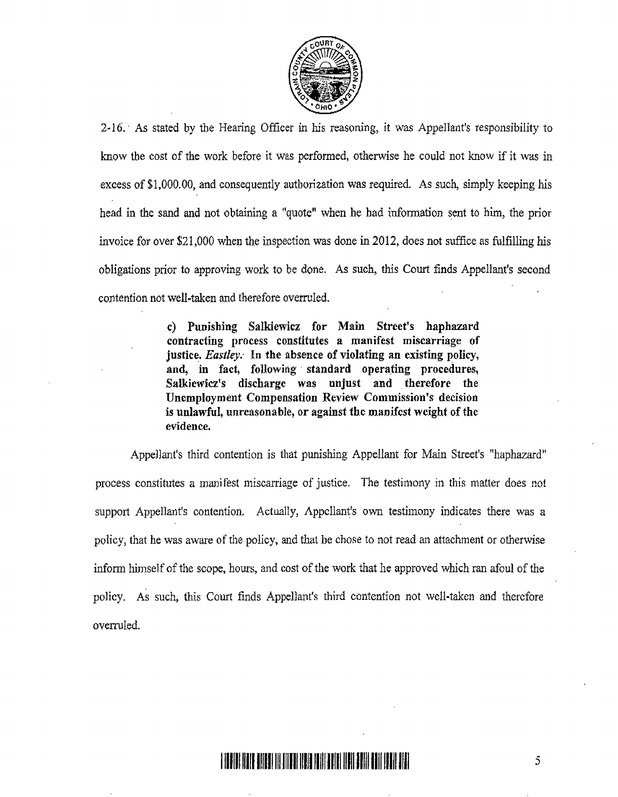

2~ 16.' As stated by the Hearing Officer in his reasoning, it was Appellant's responsibility to know the cost of the work before it was performed, otherwise he could not know if it was in excess of \$1,000.00, and consequently authorization was required. As such, simply keeping his head in the sand and not obtaining a "quote" when he had information sent to him, the prior invoice for over \$21,000 when the inspection was done in 2012, does not suffice as fulfilling his obligations prior to approving work to be done. As such, this Court finds Appellant's second contention not well-taken and therefore overruled.

> c) Punishing Salkiewicz for Main Street's haphazard contracting process constitutes a manifest miscarriage of justice. *Eastley*. In the absence of violating an existing policy, and, in fact, following standard operating procedures, Salkiewicz's discharge was unjust and therefore the Unemployment Compensation Review Commission's decision is unlawful, unrensonable, or against the manifest weight of the evidence.

Appellant's third contention is that punishing Appellant for Main Street's "haphazard" process constitutes a manifest miscarriage of justice. The testimony in this matter does not support Appellant's contention. Actually, Appellant's own testimony indicates there was a policy, that he was aware of the policy, and that he chose to not read an attachment or otherwise infonn himself of the scope, hours, and cost of the work that he approved which ran afoul of the policy. As such, this Court finds Appellant's third contention not well-taken and therefore overruled.